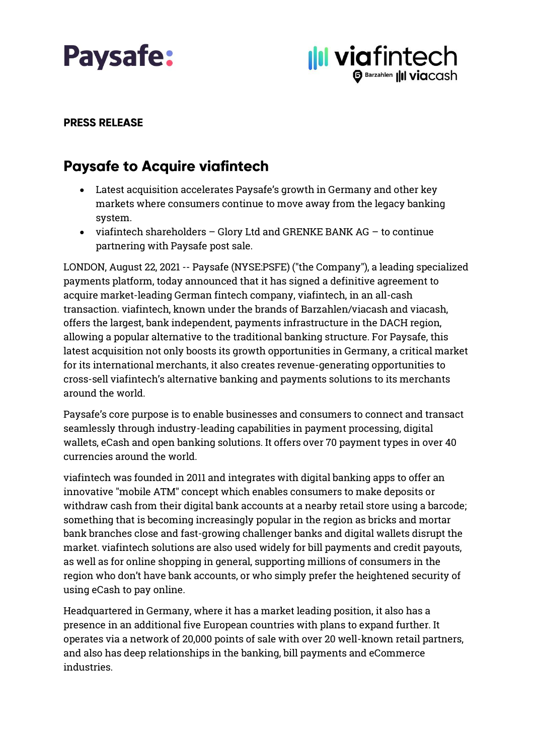



# **PRESS RELEASE**

# **Paysafe to Acquire viafintech**

- Latest acquisition accelerates Paysafe's growth in Germany and other key markets where consumers continue to move away from the legacy banking system.
- viafintech shareholders Glory Ltd and GRENKE BANK AG to continue partnering with Paysafe post sale.

LONDON, August 22, 2021 -- Paysafe (NYSE:PSFE) ("the Company"), a leading specialized payments platform, today announced that it has signed a definitive agreement to acquire market-leading German fintech company, viafintech, in an all-cash transaction. viafintech, known under the brands of Barzahlen/viacash and viacash, offers the largest, bank independent, payments infrastructure in the DACH region, allowing a popular alternative to the traditional banking structure. For Paysafe, this latest acquisition not only boosts its growth opportunities in Germany, a critical market for its international merchants, it also creates revenue-generating opportunities to cross-sell viafintech's alternative banking and payments solutions to its merchants around the world.

Paysafe's core purpose is to enable businesses and consumers to connect and transact seamlessly through industry-leading capabilities in payment processing, digital wallets, eCash and open banking solutions. It offers over 70 payment types in over 40 currencies around the world.

viafintech was founded in 2011 and integrates with digital banking apps to offer an innovative "mobile ATM" concept which enables consumers to make deposits or withdraw cash from their digital bank accounts at a nearby retail store using a barcode; something that is becoming increasingly popular in the region as bricks and mortar bank branches close and fast-growing challenger banks and digital wallets disrupt the market. viafintech solutions are also used widely for bill payments and credit payouts, as well as for online shopping in general, supporting millions of consumers in the region who don't have bank accounts, or who simply prefer the heightened security of using eCash to pay online.

Headquartered in Germany, where it has a market leading position, it also has a presence in an additional five European countries with plans to expand further. It operates via a network of 20,000 points of sale with over 20 well-known retail partners, and also has deep relationships in the banking, bill payments and eCommerce industries.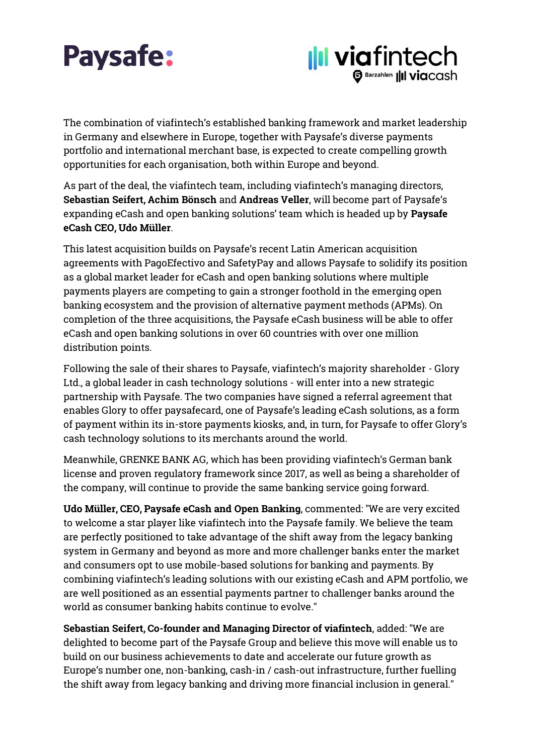



The combination of viafintech's established banking framework and market leadership in Germany and elsewhere in Europe, together with Paysafe's diverse payments portfolio and international merchant base, is expected to create compelling growth opportunities for each organisation, both within Europe and beyond.

As part of the deal, the viafintech team, including viafintech's managing directors, Sebastian Seifert, Achim Bönsch and Andreas Veller, will become part of Paysafe's expanding eCash and open banking solutions' team which is headed up by Paysafe eCash CEO, Udo Müller.

This latest acquisition builds on Paysafe's recent Latin American acquisition agreements with PagoEfectivo and SafetyPay and allows Paysafe to solidify its position as a global market leader for eCash and open banking solutions where multiple payments players are competing to gain a stronger foothold in the emerging open banking ecosystem and the provision of alternative payment methods (APMs). On completion of the three acquisitions, the Paysafe eCash business will be able to offer eCash and open banking solutions in over 60 countries with over one million distribution points.

Following the sale of their shares to Paysafe, viafintech's majority shareholder - Glory Ltd., a global leader in cash technology solutions - will enter into a new strategic partnership with Paysafe. The two companies have signed a referral agreement that enables Glory to offer paysafecard, one of Paysafe's leading eCash solutions, as a form of payment within its in-store payments kiosks, and, in turn, for Paysafe to offer Glory's cash technology solutions to its merchants around the world.

Meanwhile, GRENKE BANK AG, which has been providing viafintech's German bank license and proven regulatory framework since 2017, as well as being a shareholder of the company, will continue to provide the same banking service going forward.

Udo Müller, CEO, Paysafe eCash and Open Banking, commented: "We are very excited to welcome a star player like viafintech into the Paysafe family. We believe the team are perfectly positioned to take advantage of the shift away from the legacy banking system in Germany and beyond as more and more challenger banks enter the market and consumers opt to use mobile-based solutions for banking and payments. By combining viafintech's leading solutions with our existing eCash and APM portfolio, we are well positioned as an essential payments partner to challenger banks around the world as consumer banking habits continue to evolve."

Sebastian Seifert, Co-founder and Managing Director of viafintech, added: "We are delighted to become part of the Paysafe Group and believe this move will enable us to build on our business achievements to date and accelerate our future growth as Europe's number one, non-banking, cash-in / cash-out infrastructure, further fuelling the shift away from legacy banking and driving more financial inclusion in general."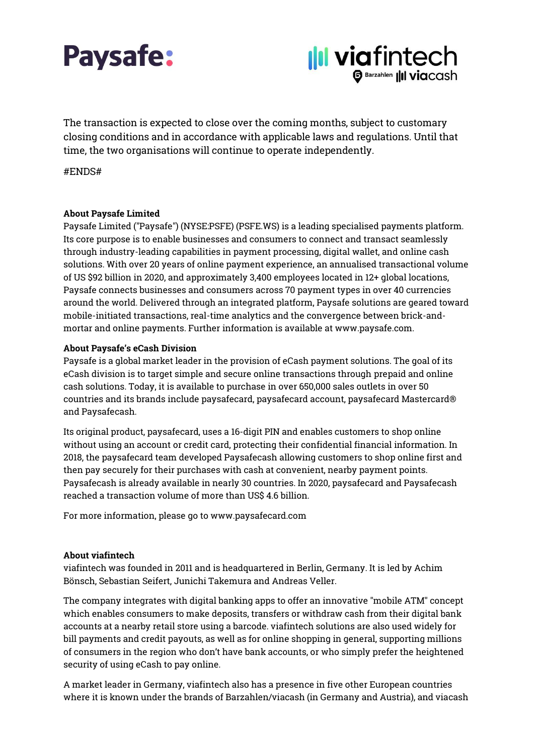



The transaction is expected to close over the coming months, subject to customary closing conditions and in accordance with applicable laws and regulations. Until that time, the two organisations will continue to operate independently.

#ENDS#

## About Paysafe Limited

Paysafe Limited ("Paysafe") (NYSE:PSFE) (PSFE.WS) is a leading specialised payments platform. Its core purpose is to enable businesses and consumers to connect and transact seamlessly through industry-leading capabilities in payment processing, digital wallet, and online cash solutions. With over 20 years of online payment experience, an annualised transactional volume of US \$92 billion in 2020, and approximately 3,400 employees located in 12+ global locations, Paysafe connects businesses and consumers across 70 payment types in over 40 currencies around the world. Delivered through an integrated platform, Paysafe solutions are geared toward mobile-initiated transactions, real-time analytics and the convergence between brick-andmortar and online payments. Further information is available at www.paysafe.com.

## About Paysafe's eCash Division

Paysafe is a global market leader in the provision of eCash payment solutions. The goal of its eCash division is to target simple and secure online transactions through prepaid and online cash solutions. Today, it is available to purchase in over 650,000 sales outlets in over 50 countries and its brands include paysafecard, paysafecard account, paysafecard Mastercard® and Paysafecash.

Its original product, paysafecard, uses a 16-digit PIN and enables customers to shop online without using an account or credit card, protecting their confidential financial information. In 2018, the paysafecard team developed Paysafecash allowing customers to shop online first and then pay securely for their purchases with cash at convenient, nearby payment points. Paysafecash is already available in nearly 30 countries. In 2020, paysafecard and Paysafecash reached a transaction volume of more than US\$ 4.6 billion.

For more information, please go to www.paysafecard.com

### About viafintech

viafintech was founded in 2011 and is headquartered in Berlin, Germany. It is led by Achim Bönsch, Sebastian Seifert, Junichi Takemura and Andreas Veller.

The company integrates with digital banking apps to offer an innovative "mobile ATM" concept which enables consumers to make deposits, transfers or withdraw cash from their digital bank accounts at a nearby retail store using a barcode. viafintech solutions are also used widely for bill payments and credit payouts, as well as for online shopping in general, supporting millions of consumers in the region who don't have bank accounts, or who simply prefer the heightened security of using eCash to pay online.

A market leader in Germany, viafintech also has a presence in five other European countries where it is known under the brands of Barzahlen/viacash (in Germany and Austria), and viacash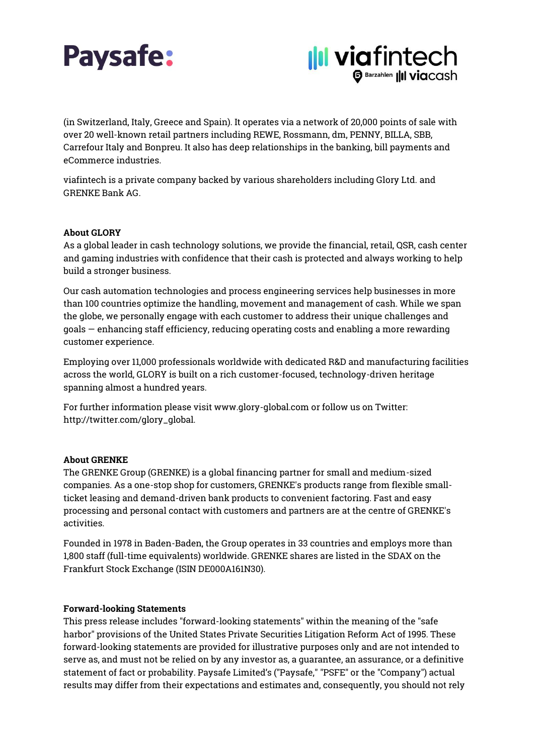



(in Switzerland, Italy, Greece and Spain). It operates via a network of 20,000 points of sale with over 20 well-known retail partners including REWE, Rossmann, dm, PENNY, BILLA, SBB, Carrefour Italy and Bonpreu. It also has deep relationships in the banking, bill payments and eCommerce industries.

viafintech is a private company backed by various shareholders including Glory Ltd. and GRENKE Bank AG.

## About GLORY

As a global leader in cash technology solutions, we provide the financial, retail, QSR, cash center and gaming industries with confidence that their cash is protected and always working to help build a stronger business.

Our cash automation technologies and process engineering services help businesses in more than 100 countries optimize the handling, movement and management of cash. While we span the globe, we personally engage with each customer to address their unique challenges and goals — enhancing staff efficiency, reducing operating costs and enabling a more rewarding customer experience.

Employing over 11,000 professionals worldwide with dedicated R&D and manufacturing facilities across the world, GLORY is built on a rich customer-focused, technology-driven heritage spanning almost a hundred years.

For further information please visit www.glory-global.com or follow us on Twitter: http://twitter.com/glory\_global.

### About GRENKE

The GRENKE Group (GRENKE) is a global financing partner for small and medium-sized companies. As a one-stop shop for customers, GRENKE's products range from flexible smallticket leasing and demand-driven bank products to convenient factoring. Fast and easy processing and personal contact with customers and partners are at the centre of GRENKE's activities.

Founded in 1978 in Baden-Baden, the Group operates in 33 countries and employs more than 1,800 staff (full-time equivalents) worldwide. GRENKE shares are listed in the SDAX on the Frankfurt Stock Exchange (ISIN DE000A161N30).

### Forward-looking Statements

This press release includes "forward-looking statements" within the meaning of the "safe harbor" provisions of the United States Private Securities Litigation Reform Act of 1995. These forward-looking statements are provided for illustrative purposes only and are not intended to serve as, and must not be relied on by any investor as, a guarantee, an assurance, or a definitive statement of fact or probability. Paysafe Limited's ("Paysafe," "PSFE" or the "Company") actual results may differ from their expectations and estimates and, consequently, you should not rely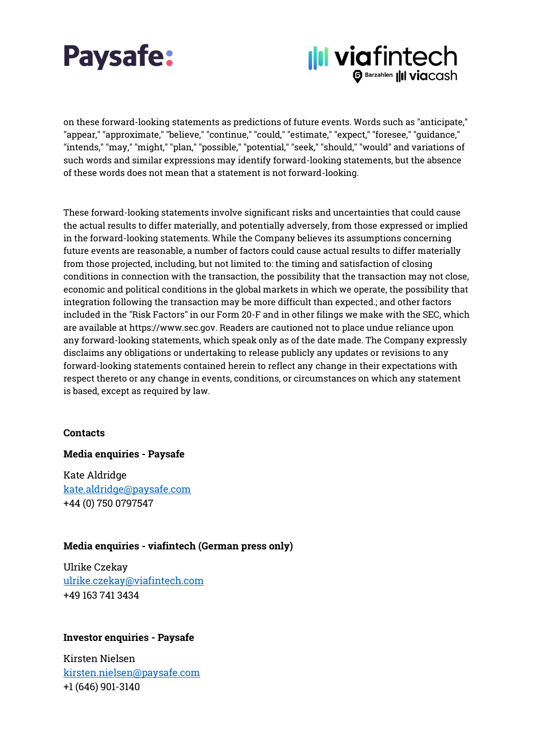



on these forward-looking statements as predictions of future events. Words such as "anticipate," "appear," "approximate," "believe," "continue," "could," "estimate," "expect," "foresee," "guidance," "intends," "may," "might," "plan," "possible," "potential," "seek," "should," "would" and variations of such words and similar expressions may identify forward-looking statements, but the absence of these words does not mean that a statement is not forward-looking.

These forward-looking statements involve significant risks and uncertainties that could cause the actual results to differ materially, and potentially adversely, from those expressed or implied in the forward-looking statements. While the Company believes its assumptions concerning future events are reasonable, a number of factors could cause actual results to differ materially from those projected, including, but not limited to: the timing and satisfaction of closing conditions in connection with the transaction, the possibility that the transaction may not close, economic and political conditions in the global markets in which we operate, the possibility that integration following the transaction may be more difficult than expected.; and other factors included in the "Risk Factors" in our Form 20-F and in other filings we make with the SEC, which are available at https://www.sec.gov. Readers are cautioned not to place undue reliance upon any forward-looking statements, which speak only as of the date made. The Company expressly disclaims any obligations or undertaking to release publicly any updates or revisions to any forward-looking statements contained herein to reflect any change in their expectations with respect thereto or any change in events, conditions, or circumstances on which any statement is based, except as required by law.

# **Contacts**

# Media enquiries - Paysafe

Kate Aldridge [kate.aldridge@paysafe.com](mailto:kate.aldridge@paysafe.com) +44 (0) 750 0797547

# Media enquiries - viafintech (German press only)

Ulrike Czekay [ulrike.czekay@viafintech.com](mailto:ulrike.czekay@viafintech.com) +49 163 741 3434

# Investor enquiries - Paysafe

Kirsten Nielsen [kirsten.nielsen@paysafe.com](mailto:kirsten.nielsen@paysafe.com) +1 (646) 901-3140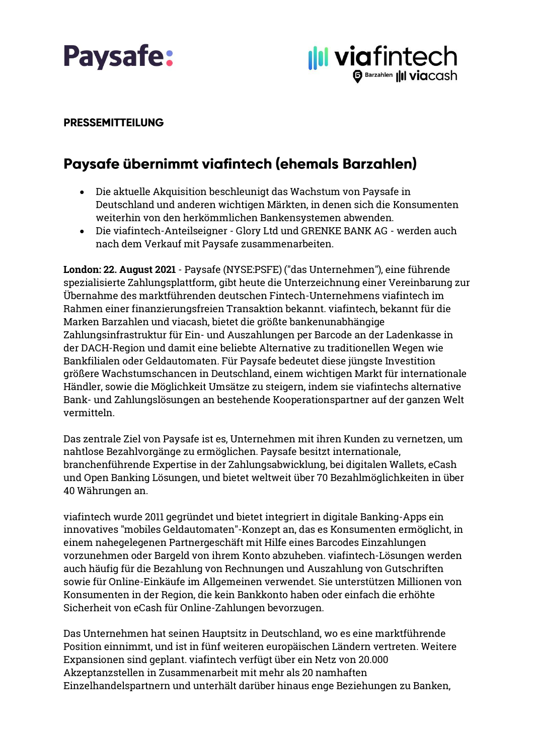



# **PRESSEMITTEILUNG**

# Paysafe übernimmt viafintech (ehemals Barzahlen)

- Die aktuelle Akquisition beschleunigt das Wachstum von Paysafe in Deutschland und anderen wichtigen Märkten, in denen sich die Konsumenten weiterhin von den herkömmlichen Bankensystemen abwenden.
- Die viafintech-Anteilseigner Glory Ltd und GRENKE BANK AG werden auch nach dem Verkauf mit Paysafe zusammenarbeiten.

London: 22. August 2021 - Paysafe (NYSE:PSFE) ("das Unternehmen"), eine führende spezialisierte Zahlungsplattform, gibt heute die Unterzeichnung einer Vereinbarung zur Übernahme des marktführenden deutschen Fintech-Unternehmens viafintech im Rahmen einer finanzierungsfreien Transaktion bekannt. viafintech, bekannt für die Marken Barzahlen und viacash, bietet die größte bankenunabhängige Zahlungsinfrastruktur für Ein- und Auszahlungen per Barcode an der Ladenkasse in der DACH-Region und damit eine beliebte Alternative zu traditionellen Wegen wie Bankfilialen oder Geldautomaten. Für Paysafe bedeutet diese jüngste Investition größere Wachstumschancen in Deutschland, einem wichtigen Markt für internationale Händler, sowie die Möglichkeit Umsätze zu steigern, indem sie viafintechs alternative Bank- und Zahlungslösungen an bestehende Kooperationspartner auf der ganzen Welt vermitteln.

Das zentrale Ziel von Paysafe ist es, Unternehmen mit ihren Kunden zu vernetzen, um nahtlose Bezahlvorgänge zu ermöglichen. Paysafe besitzt internationale, branchenführende Expertise in der Zahlungsabwicklung, bei digitalen Wallets, eCash und Open Banking Lösungen, und bietet weltweit über 70 Bezahlmöglichkeiten in über 40 Währungen an.

viafintech wurde 2011 gegründet und bietet integriert in digitale Banking-Apps ein innovatives "mobiles Geldautomaten"-Konzept an, das es Konsumenten ermöglicht, in einem nahegelegenen Partnergeschäft mit Hilfe eines Barcodes Einzahlungen vorzunehmen oder Bargeld von ihrem Konto abzuheben. viafintech-Lösungen werden auch häufig für die Bezahlung von Rechnungen und Auszahlung von Gutschriften sowie für Online-Einkäufe im Allgemeinen verwendet. Sie unterstützen Millionen von Konsumenten in der Region, die kein Bankkonto haben oder einfach die erhöhte Sicherheit von eCash für Online-Zahlungen bevorzugen.

Das Unternehmen hat seinen Hauptsitz in Deutschland, wo es eine marktführende Position einnimmt, und ist in fünf weiteren europäischen Ländern vertreten. Weitere Expansionen sind geplant. viafintech verfügt über ein Netz von 20.000 Akzeptanzstellen in Zusammenarbeit mit mehr als 20 namhaften Einzelhandelspartnern und unterhält darüber hinaus enge Beziehungen zu Banken,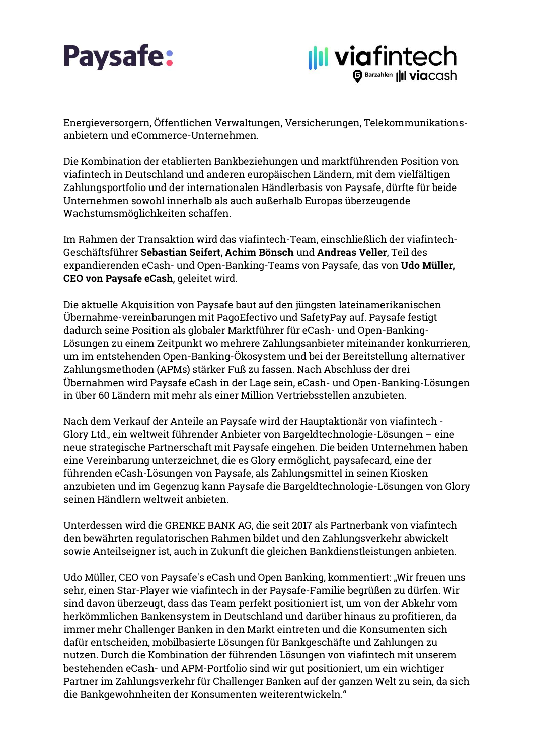



Energieversorgern, Öffentlichen Verwaltungen, Versicherungen, Telekommunikationsanbietern und eCommerce-Unternehmen.

Die Kombination der etablierten Bankbeziehungen und marktführenden Position von viafintech in Deutschland und anderen europäischen Ländern, mit dem vielfältigen Zahlungsportfolio und der internationalen Händlerbasis von Paysafe, dürfte für beide Unternehmen sowohl innerhalb als auch außerhalb Europas überzeugende Wachstumsmöglichkeiten schaffen.

Im Rahmen der Transaktion wird das viafintech-Team, einschließlich der viafintech-Geschäftsführer Sebastian Seifert, Achim Bönsch und Andreas Veller, Teil des expandierenden eCash- und Open-Banking-Teams von Paysafe, das von Udo Müller, CEO von Paysafe eCash, geleitet wird.

Die aktuelle Akquisition von Paysafe baut auf den jüngsten lateinamerikanischen Übernahme-vereinbarungen mit PagoEfectivo und SafetyPay auf. Paysafe festigt dadurch seine Position als globaler Marktführer für eCash- und Open-Banking-Lösungen zu einem Zeitpunkt wo mehrere Zahlungsanbieter miteinander konkurrieren, um im entstehenden Open-Banking-Ökosystem und bei der Bereitstellung alternativer Zahlungsmethoden (APMs) stärker Fuß zu fassen. Nach Abschluss der drei Übernahmen wird Paysafe eCash in der Lage sein, eCash- und Open-Banking-Lösungen in über 60 Ländern mit mehr als einer Million Vertriebsstellen anzubieten.

Nach dem Verkauf der Anteile an Paysafe wird der Hauptaktionär von viafintech - Glory Ltd., ein weltweit führender Anbieter von Bargeldtechnologie-Lösungen – eine neue strategische Partnerschaft mit Paysafe eingehen. Die beiden Unternehmen haben eine Vereinbarung unterzeichnet, die es Glory ermöglicht, paysafecard, eine der führenden eCash-Lösungen von Paysafe, als Zahlungsmittel in seinen Kiosken anzubieten und im Gegenzug kann Paysafe die Bargeldtechnologie-Lösungen von Glory seinen Händlern weltweit anbieten.

Unterdessen wird die GRENKE BANK AG, die seit 2017 als Partnerbank von viafintech den bewährten regulatorischen Rahmen bildet und den Zahlungsverkehr abwickelt sowie Anteilseigner ist, auch in Zukunft die gleichen Bankdienstleistungen anbieten.

Udo Müller, CEO von Paysafe's eCash und Open Banking, kommentiert: "Wir freuen uns sehr, einen Star-Player wie viafintech in der Paysafe-Familie begrüßen zu dürfen. Wir sind davon überzeugt, dass das Team perfekt positioniert ist, um von der Abkehr vom herkömmlichen Bankensystem in Deutschland und darüber hinaus zu profitieren, da immer mehr Challenger Banken in den Markt eintreten und die Konsumenten sich dafür entscheiden, mobilbasierte Lösungen für Bankgeschäfte und Zahlungen zu nutzen. Durch die Kombination der führenden Lösungen von viafintech mit unserem bestehenden eCash- und APM-Portfolio sind wir gut positioniert, um ein wichtiger Partner im Zahlungsverkehr für Challenger Banken auf der ganzen Welt zu sein, da sich die Bankgewohnheiten der Konsumenten weiterentwickeln."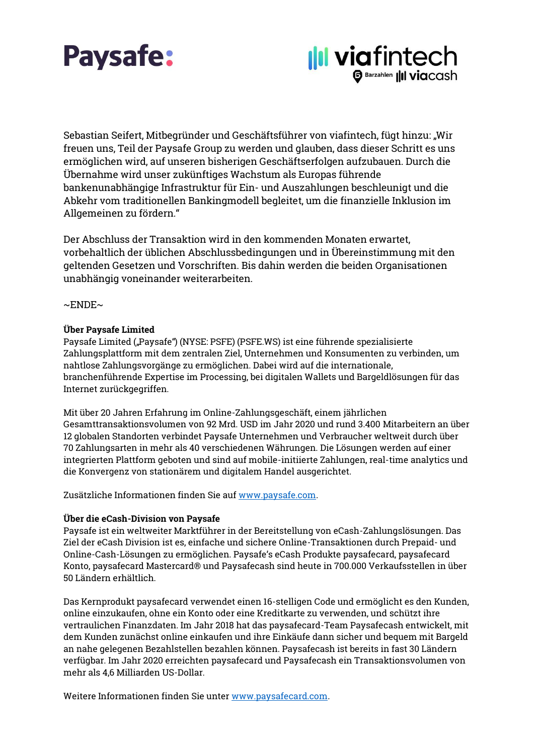



Sebastian Seifert, Mitbegründer und Geschäftsführer von viafintech, fügt hinzu: "Wir freuen uns, Teil der Paysafe Group zu werden und glauben, dass dieser Schritt es uns ermöglichen wird, auf unseren bisherigen Geschäftserfolgen aufzubauen. Durch die Übernahme wird unser zukünftiges Wachstum als Europas führende bankenunabhängige Infrastruktur für Ein- und Auszahlungen beschleunigt und die Abkehr vom traditionellen Bankingmodell begleitet, um die finanzielle Inklusion im Allgemeinen zu fördern."

Der Abschluss der Transaktion wird in den kommenden Monaten erwartet, vorbehaltlich der üblichen Abschlussbedingungen und in Übereinstimmung mit den geltenden Gesetzen und Vorschriften. Bis dahin werden die beiden Organisationen unabhängig voneinander weiterarbeiten.

 $~\sim$ ENDE $~\sim$ 

# Über Paysafe Limited

Paysafe Limited ("Paysafe") (NYSE: PSFE) (PSFE.WS) ist eine führende spezialisierte Zahlungsplattform mit dem zentralen Ziel, Unternehmen und Konsumenten zu verbinden, um nahtlose Zahlungsvorgänge zu ermöglichen. Dabei wird auf die internationale, branchenführende Expertise im Processing, bei digitalen Wallets und Bargeldlösungen für das Internet zurückgegriffen.

Mit über 20 Jahren Erfahrung im Online-Zahlungsgeschäft, einem jährlichen Gesamttransaktionsvolumen von 92 Mrd. USD im Jahr 2020 und rund 3.400 Mitarbeitern an über 12 globalen Standorten verbindet Paysafe Unternehmen und Verbraucher weltweit durch über 70 Zahlungsarten in mehr als 40 verschiedenen Währungen. Die Lösungen werden auf einer integrierten Plattform geboten und sind auf mobile-initiierte Zahlungen, real-time analytics und die Konvergenz von stationärem und digitalem Handel ausgerichtet.

Zusätzliche Informationen finden Sie auf [www.paysafe.com.](http://www.paysafe.com/)

### Über die eCash-Division von Paysafe

Paysafe ist ein weltweiter Marktführer in der Bereitstellung von eCash-Zahlungslösungen. Das Ziel der eCash Division ist es, einfache und sichere Online-Transaktionen durch Prepaid- und Online-Cash-Lösungen zu ermöglichen. Paysafe's eCash Produkte paysafecard, paysafecard Konto, paysafecard Mastercard® und Paysafecash sind heute in 700.000 Verkaufsstellen in über 50 Ländern erhältlich.

Das Kernprodukt paysafecard verwendet einen 16-stelligen Code und ermöglicht es den Kunden, online einzukaufen, ohne ein Konto oder eine Kreditkarte zu verwenden, und schützt ihre vertraulichen Finanzdaten. Im Jahr 2018 hat das paysafecard-Team Paysafecash entwickelt, mit dem Kunden zunächst online einkaufen und ihre Einkäufe dann sicher und bequem mit Bargeld an nahe gelegenen Bezahlstellen bezahlen können. Paysafecash ist bereits in fast 30 Ländern verfügbar. Im Jahr 2020 erreichten paysafecard und Paysafecash ein Transaktionsvolumen von mehr als 4,6 Milliarden US-Dollar.

Weitere Informationen finden Sie unter [www.paysafecard.com.](http://www.paysafecard.com/)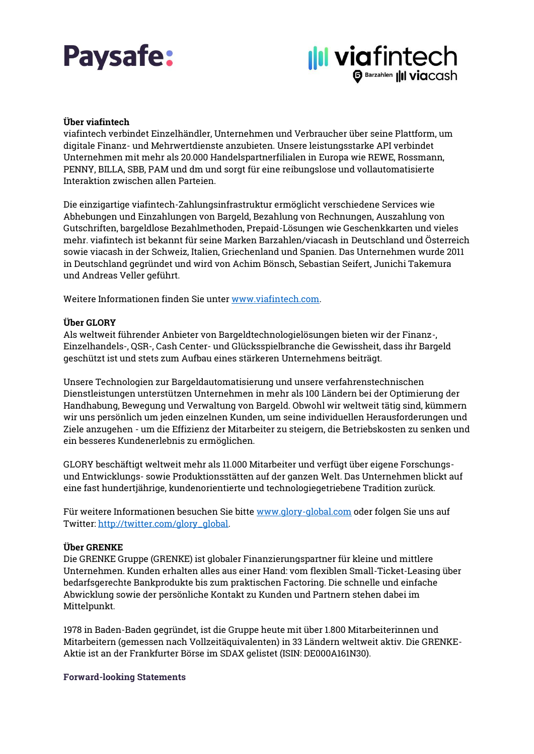



### Über viafintech

viafintech verbindet Einzelhändler, Unternehmen und Verbraucher über seine Plattform, um digitale Finanz- und Mehrwertdienste anzubieten. Unsere leistungsstarke API verbindet Unternehmen mit mehr als 20.000 Handelspartnerfilialen in Europa wie REWE, Rossmann, PENNY, BILLA, SBB, PAM und dm und sorgt für eine reibungslose und vollautomatisierte Interaktion zwischen allen Parteien.

Die einzigartige viafintech-Zahlungsinfrastruktur ermöglicht verschiedene Services wie Abhebungen und Einzahlungen von Bargeld, Bezahlung von Rechnungen, Auszahlung von Gutschriften, bargeldlose Bezahlmethoden, Prepaid-Lösungen wie Geschenkkarten und vieles mehr. viafintech ist bekannt für seine Marken Barzahlen/viacash in Deutschland und Österreich sowie viacash in der Schweiz, Italien, Griechenland und Spanien. Das Unternehmen wurde 2011 in Deutschland gegründet und wird von Achim Bönsch, Sebastian Seifert, Junichi Takemura und Andreas Veller geführt.

Weitere Informationen finden Sie unter [www.viafintech.com.](http://www.viafintech.com/) 

#### Über GLORY

Als weltweit führender Anbieter von Bargeldtechnologielösungen bieten wir der Finanz-, Einzelhandels-, QSR-, Cash Center- und Glücksspielbranche die Gewissheit, dass ihr Bargeld geschützt ist und stets zum Aufbau eines stärkeren Unternehmens beiträgt.

Unsere Technologien zur Bargeldautomatisierung und unsere verfahrenstechnischen Dienstleistungen unterstützen Unternehmen in mehr als 100 Ländern bei der Optimierung der Handhabung, Bewegung und Verwaltung von Bargeld. Obwohl wir weltweit tätig sind, kümmern wir uns persönlich um jeden einzelnen Kunden, um seine individuellen Herausforderungen und Ziele anzugehen - um die Effizienz der Mitarbeiter zu steigern, die Betriebskosten zu senken und ein besseres Kundenerlebnis zu ermöglichen.

GLORY beschäftigt weltweit mehr als 11.000 Mitarbeiter und verfügt über eigene Forschungsund Entwicklungs- sowie Produktionsstätten auf der ganzen Welt. Das Unternehmen blickt auf eine fast hundertjährige, kundenorientierte und technologiegetriebene Tradition zurück.

Für weitere Informationen besuchen Sie bitte [www.glory-global.com](http://www.glory-global.com/) oder folgen Sie uns auf Twitter[: http://twitter.com/glory\\_global.](http://twitter.com/glory_global)

### Über GRENKE

Die GRENKE Gruppe (GRENKE) ist globaler Finanzierungspartner für kleine und mittlere Unternehmen. Kunden erhalten alles aus einer Hand: vom flexiblen Small-Ticket-Leasing über bedarfsgerechte Bankprodukte bis zum praktischen Factoring. Die schnelle und einfache Abwicklung sowie der persönliche Kontakt zu Kunden und Partnern stehen dabei im Mittelpunkt.

1978 in Baden-Baden gegründet, ist die Gruppe heute mit über 1.800 Mitarbeiterinnen und Mitarbeitern (gemessen nach Vollzeitäquivalenten) in 33 Ländern weltweit aktiv. Die GRENKE-Aktie ist an der Frankfurter Börse im SDAX gelistet (ISIN: DE000A161N30).

#### Forward-looking Statements